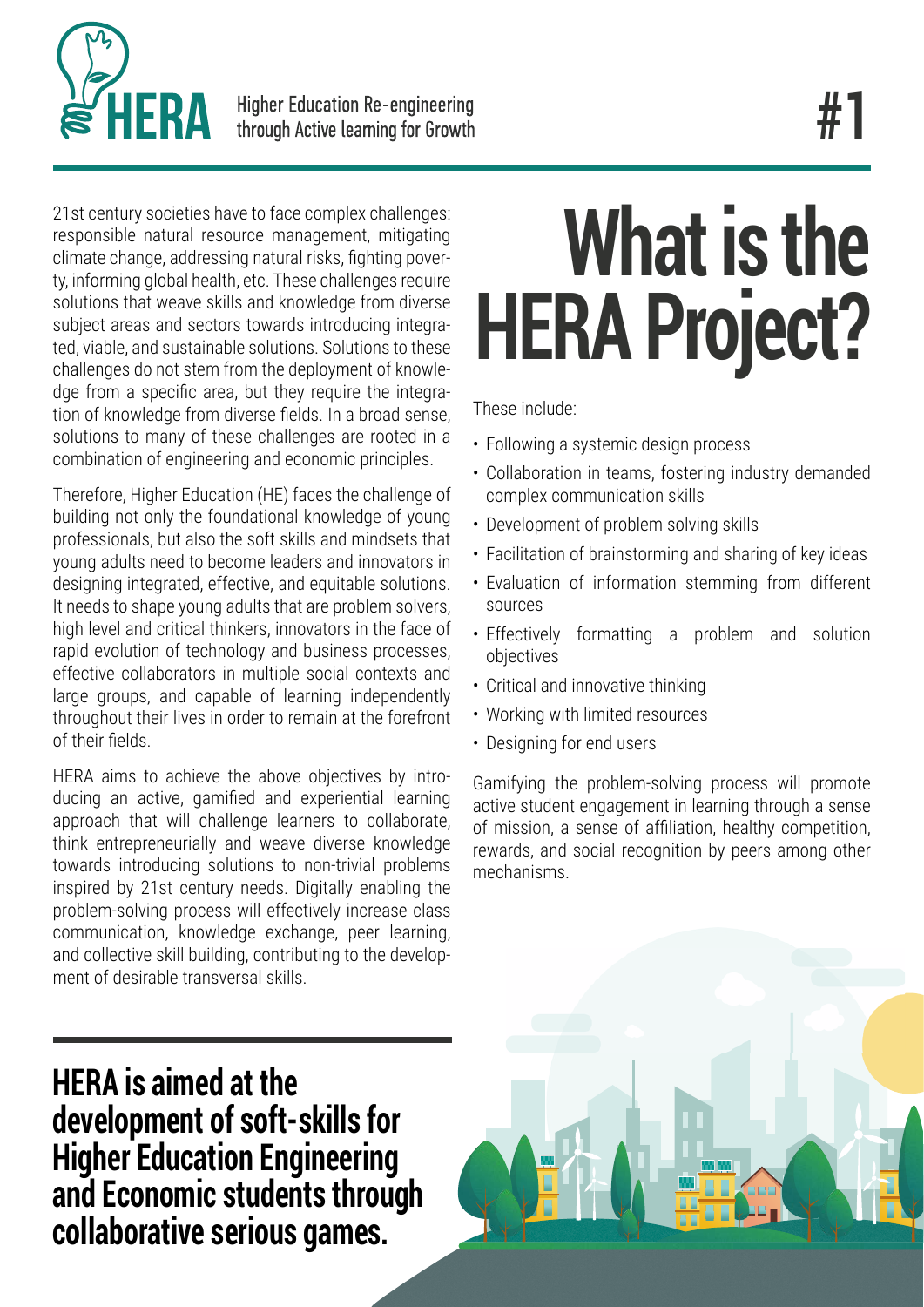

21st century societies have to face complex challenges: responsible natural resource management, mitigating climate change, addressing natural risks, fighting poverty, informing global health, etc. These challenges require solutions that weave skills and knowledge from diverse subject areas and sectors towards introducing integrated, viable, and sustainable solutions. Solutions to these challenges do not stem from the deployment of knowledge from a specific area, but they require the integration of knowledge from diverse fields. In a broad sense, solutions to many of these challenges are rooted in a combination of engineering and economic principles.

Therefore, Higher Education (HE) faces the challenge of building not only the foundational knowledge of young professionals, but also the soft skills and mindsets that young adults need to become leaders and innovators in designing integrated, effective, and equitable solutions. It needs to shape young adults that are problem solvers, high level and critical thinkers, innovators in the face of rapid evolution of technology and business processes, effective collaborators in multiple social contexts and large groups, and capable of learning independently throughout their lives in order to remain at the forefront of their fields.

HERA aims to achieve the above objectives by introducing an active, gamified and experiential learning approach that will challenge learners to collaborate, think entrepreneurially and weave diverse knowledge towards introducing solutions to non-trivial problems inspired by 21st century needs. Digitally enabling the problem-solving process will effectively increase class communication, knowledge exchange, peer learning, and collective skill building, contributing to the development of desirable transversal skills.

## **HERA is aimed at the development of soft-skills for Higher Education Engineering and Economic students through collaborative serious games.**

## **What is the HERA Project?**

These include:

- Following a systemic design process
- Collaboration in teams, fostering industry demanded complex communication skills
- Development of problem solving skills
- Facilitation of brainstorming and sharing of key ideas
- Evaluation of information stemming from different sources
- Effectively formatting a problem and solution objectives
- Critical and innovative thinking
- Working with limited resources
- Designing for end users

Gamifying the problem-solving process will promote active student engagement in learning through a sense of mission, a sense of affiliation, healthy competition, rewards, and social recognition by peers among other mechanisms.